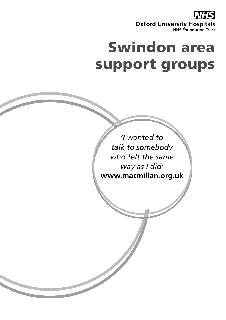

# Swindon area support groups

*'I wanted to talk to somebody who felt the same way as I did'* **www.macmillan.org.uk**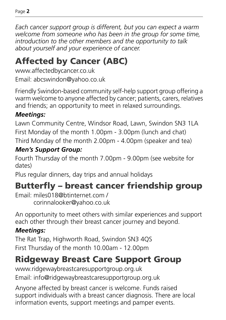*Each cancer support group is different, but you can expect a warm welcome from someone who has been in the group for some time, introduction to the other members and the opportunity to talk about yourself and your experience of cancer.*

# Affected by Cancer (ABC)

www.affectedbycancer.co.uk Email: abcswindon@yahoo.co.uk

Friendly Swindon-based community self-help support group offering a warm welcome to anyone affected by cancer; patients, carers, relatives and friends; an opportunity to meet in relaxed surroundings.

### *Meetings:*

Lawn Community Centre, Windsor Road, Lawn, Swindon SN3 1LA First Monday of the month 1.00pm - 3.00pm (lunch and chat)

Third Monday of the month 2.00pm - 4.00pm (speaker and tea)

### *Men's Support Group:*

Fourth Thursday of the month 7.00pm - 9.00pm (see website for dates)

Plus regular dinners, day trips and annual holidays

# Butterfly – breast cancer friendship group

Email: miles018@btinternet.com / corinnalooker@yahoo.co.uk

An opportunity to meet others with similar experiences and support each other through their breast cancer journey and beyond.

### *Meetings:*

The Rat Trap, Highworth Road, Swindon SN3 4QS First Thursday of the month 10.00am - 12.00pm

# Ridgeway Breast Care Support Group

www.ridgewaybreastcaresupportgroup.org.uk Email: info@ridgewaybreastcaresupportgroup.org.uk

Anyone affected by breast cancer is welcome. Funds raised support individuals with a breast cancer diagnosis. There are local information events, support meetings and pamper events.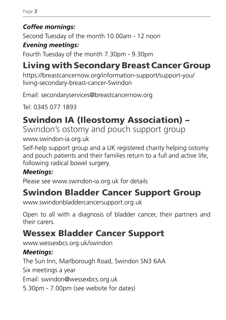#### *Coffee mornings:*

Second Tuesday of the month 10.00am - 12 noon

### *Evening meetings:*

Fourth Tuesday of the month 7.30pm - 9.30pm

# Living with Secondary Breast Cancer Group

https://breastcancernow.org/information-support/support-you/ living-secondary-breast-cancer-Swindon

Email: secondaryservices@breastcancernow.org

Tel: 0345 077 1893

# Swindon IA (Ileostomy Association) –

Swindon's ostomy and pouch support group www.swindon-ia.org.uk

Self-help support group and a UK registered charity helping ostomy and pouch patients and their families return to a full and active life, following radical bowel surgery.

### *Meetings:*

Please see www.swindon-ia.org.uk for details

# Swindon Bladder Cancer Support Group

www.swindonbladdercancersupport.org.uk

Open to all with a diagnosis of bladder cancer, their partners and their carers.

# Wessex Bladder Cancer Support

www.wessexbcs.org.uk/swindon

### *Meetings:*

The Sun Inn, Marlborough Road, Swindon SN3 6AA

Six meetings a year

Email: swindon@wessexbcs.org.uk

5.30pm - 7.00pm (see website for dates)